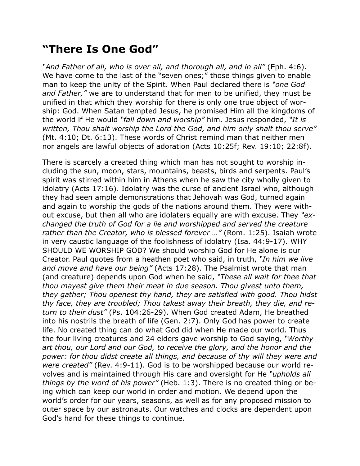## **"There Is One God"**

*"And Father of all, who is over all, and thorough all, and in all"* (Eph. 4:6). We have come to the last of the "seven ones;" those things given to enable man to keep the unity of the Spirit. When Paul declared there is *"one God and Father,"* we are to understand that for men to be unified, they must be unified in that which they worship for there is only one true object of worship: God. When Satan tempted Jesus, he promised Him all the kingdoms of the world if He would *"fall down and worship"* him. Jesus responded, *"It is written, Thou shalt worship the Lord the God, and him only shalt thou serve"* (Mt. 4:10; Dt. 6:13). These words of Christ remind man that neither men nor angels are lawful objects of adoration (Acts 10:25f; Rev. 19:10; 22:8f).

There is scarcely a created thing which man has not sought to worship including the sun, moon, stars, mountains, beasts, birds and serpents. Paul's spirit was stirred within him in Athens when he saw the city wholly given to idolatry (Acts 17:16). Idolatry was the curse of ancient Israel who, although they had seen ample demonstrations that Jehovah was God, turned again and again to worship the gods of the nations around them. They were without excuse, but then all who are idolaters equally are with excuse. They *"exchanged the truth of God for a lie and worshipped and served the creature rather than the Creator, who is blessed forever …"* (Rom. 1:25). Isaiah wrote in very caustic language of the foolishness of idolatry (Isa. 44:9-17). WHY SHOULD WE WORSHIP GOD? We should worship God for He alone is our Creator. Paul quotes from a heathen poet who said, in truth, *"In him we live and move and have our being"* (Acts 17:28). The Psalmist wrote that man (and creature) depends upon God when he said, *"These all wait for thee that thou mayest give them their meat in due season. Thou givest unto them, they gather; Thou openest thy hand, they are satisfied with good. Thou hidst thy face, they are troubled; Thou takest away their breath, they die, and return to their dust"* (Ps. 104:26-29). When God created Adam, He breathed into his nostrils the breath of life (Gen. 2:7). Only God has power to create life. No created thing can do what God did when He made our world. Thus the four living creatures and 24 elders gave worship to God saying, *"Worthy art thou, our Lord and our God, to receive the glory, and the honor and the power: for thou didst create all things, and because of thy will they were and were created"* (Rev. 4:9-11). God is to be worshipped because our world revolves and is maintained through His care and oversight for He *"upholds all things by the word of his power"* (Heb. 1:3). There is no created thing or being which can keep our world in order and motion. We depend upon the world's order for our years, seasons, as well as for any proposed mission to outer space by our astronauts. Our watches and clocks are dependent upon God's hand for these things to continue.